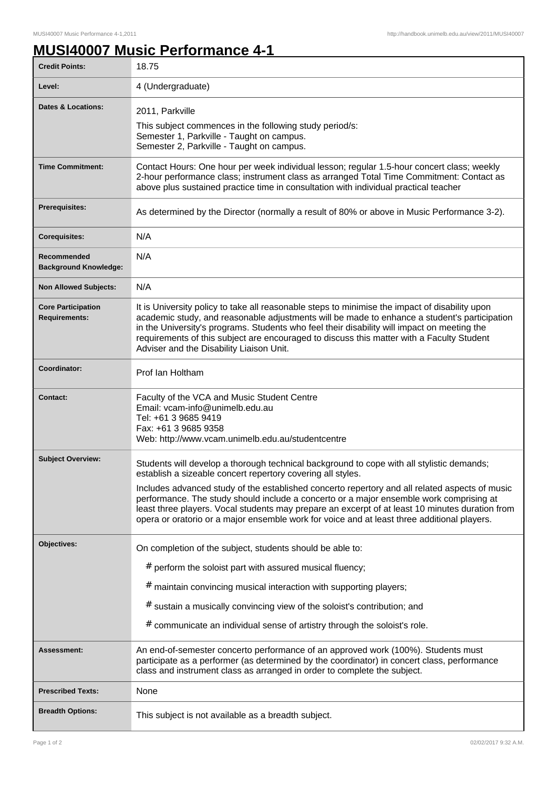## **MUSI40007 Music Performance 4-1**

| <b>Credit Points:</b>                             | 18.75                                                                                                                                                                                                                                                                                                                                                                                                                                                                                                                                                   |
|---------------------------------------------------|---------------------------------------------------------------------------------------------------------------------------------------------------------------------------------------------------------------------------------------------------------------------------------------------------------------------------------------------------------------------------------------------------------------------------------------------------------------------------------------------------------------------------------------------------------|
| Level:                                            | 4 (Undergraduate)                                                                                                                                                                                                                                                                                                                                                                                                                                                                                                                                       |
| <b>Dates &amp; Locations:</b>                     | 2011, Parkville<br>This subject commences in the following study period/s:<br>Semester 1, Parkville - Taught on campus.<br>Semester 2, Parkville - Taught on campus.                                                                                                                                                                                                                                                                                                                                                                                    |
| <b>Time Commitment:</b>                           | Contact Hours: One hour per week individual lesson; regular 1.5-hour concert class; weekly<br>2-hour performance class; instrument class as arranged Total Time Commitment: Contact as<br>above plus sustained practice time in consultation with individual practical teacher                                                                                                                                                                                                                                                                          |
| <b>Prerequisites:</b>                             | As determined by the Director (normally a result of 80% or above in Music Performance 3-2).                                                                                                                                                                                                                                                                                                                                                                                                                                                             |
| <b>Corequisites:</b>                              | N/A                                                                                                                                                                                                                                                                                                                                                                                                                                                                                                                                                     |
| Recommended<br><b>Background Knowledge:</b>       | N/A                                                                                                                                                                                                                                                                                                                                                                                                                                                                                                                                                     |
| <b>Non Allowed Subjects:</b>                      | N/A                                                                                                                                                                                                                                                                                                                                                                                                                                                                                                                                                     |
| <b>Core Participation</b><br><b>Requirements:</b> | It is University policy to take all reasonable steps to minimise the impact of disability upon<br>academic study, and reasonable adjustments will be made to enhance a student's participation<br>in the University's programs. Students who feel their disability will impact on meeting the<br>requirements of this subject are encouraged to discuss this matter with a Faculty Student<br>Adviser and the Disability Liaison Unit.                                                                                                                  |
| Coordinator:                                      | Prof Ian Holtham                                                                                                                                                                                                                                                                                                                                                                                                                                                                                                                                        |
| <b>Contact:</b>                                   | Faculty of the VCA and Music Student Centre<br>Email: vcam-info@unimelb.edu.au<br>Tel: +61 3 9685 9419<br>Fax: +61 3 9685 9358<br>Web: http://www.vcam.unimelb.edu.au/studentcentre                                                                                                                                                                                                                                                                                                                                                                     |
| <b>Subject Overview:</b>                          | Students will develop a thorough technical background to cope with all stylistic demands;<br>establish a sizeable concert repertory covering all styles.<br>Includes advanced study of the established concerto repertory and all related aspects of music<br>performance. The study should include a concerto or a major ensemble work comprising at<br>least three players. Vocal students may prepare an excerpt of at least 10 minutes duration from<br>opera or oratorio or a major ensemble work for voice and at least three additional players. |
| Objectives:                                       | On completion of the subject, students should be able to:<br># perform the soloist part with assured musical fluency;<br># maintain convincing musical interaction with supporting players;<br># sustain a musically convincing view of the soloist's contribution; and<br># communicate an individual sense of artistry through the soloist's role.                                                                                                                                                                                                    |
| Assessment:                                       | An end-of-semester concerto performance of an approved work (100%). Students must<br>participate as a performer (as determined by the coordinator) in concert class, performance<br>class and instrument class as arranged in order to complete the subject.                                                                                                                                                                                                                                                                                            |
| <b>Prescribed Texts:</b>                          | None                                                                                                                                                                                                                                                                                                                                                                                                                                                                                                                                                    |
| <b>Breadth Options:</b>                           | This subject is not available as a breadth subject.                                                                                                                                                                                                                                                                                                                                                                                                                                                                                                     |